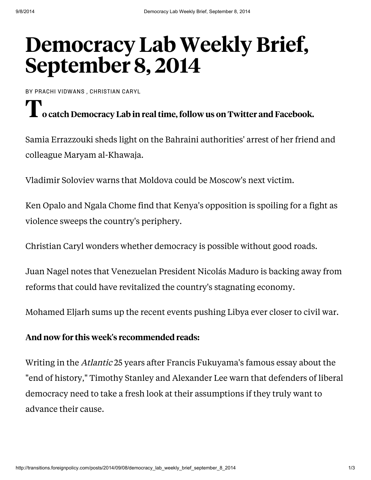## [Democracy](http://transitions.foreignpolicy.com/posts/2014/09/08/democracy_lab_weekly_brief_september_8_2014) Lab Weekly Brief, September 8, 2014

BY PRACHI [VIDWANS](http://foreignpolicy.com/profiles/Prachi-Vidwans) , [CHRISTIAN](http://foreignpolicy.com/profiles/Christian-Caryl) CARYL

## I o catch Democracy Lab in real time, follow us on [Twitter](http://www.twitter.com/FP_DemLab) and [Facebook.](http://www.facebook.com/FPDemocracyLab)

Samia Errazzouki [sheds](http://atfp.co/1CvbiQ6) light on the Bahraini authorities' arrest of her friend and colleague Maryam al-Khawaja.

Vladimir Soloviev [warns](http://atfp.co/1uAQ6CM) that Moldova could be Moscow's next victim.

Ken Opalo and Ngala Chome [find](http://atfp.co/1lzQdi4) that Kenya's opposition is spoiling for a fight as violence sweeps the country's periphery.

Christian Caryl [wonders](http://atfp.co/1plSOas) whether democracy is possible without good roads.

Juan Nagel [notes](http://atfp.co/1rzqcjv) that Venezuelan President Nicolás Maduro is backing away from reforms that could have revitalized the country's stagnating economy.

Mohamed Eljarh [sums](http://atfp.co/1nxgwB9) up the recent events pushing Libya ever closer to civil war.

## And now for this week's recommended reads:

Writing in the Atlantic 25 years after Francis Fukuyama's famous essay about the "end of history," Timothy Stanley and Alexander Lee [warn](http://www.theatlantic.com/politics/archive/2014/09/its-still-not-the-end-of-history-francis-fukuyama/379394/) that defenders of liberal democracy need to take a fresh look at their assumptions if they truly want to advance their cause.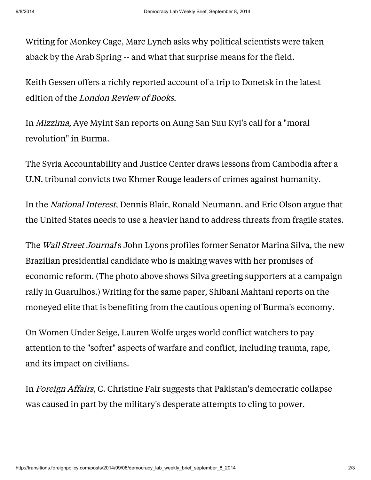Writing for Monkey Cage, Marc Lynch [asks](http://www.washingtonpost.com/blogs/monkey-cage/wp/2014/08/19/explaining-the-arab-uprisings/) why political scientists were taken aback by the Arab Spring -- and what that surprise means for the field.

Keith Gessen offers a richly reported [account](http://www.lrb.co.uk/v36/n17/keith-gessen/why-not-kill-them-all) of a trip to Donetsk in the latest edition of the London Review of Books.

In Mizzima, Aye Myint San [reports](http://www.mizzima.com/mizzima-news/politics/item/12275-nld-leader-urges-moral-revolution-to-establish-real-democracy) on Aung San Suu Kyi's call for a "moral revolution" in Burma.

The Syria Accountability and Justice Center [draws](http://syriaaccountability.org/updates/2014/08/22/lessons-from-cambodia/) lessons from Cambodia after a U.N. tribunal convicts two Khmer Rouge leaders of crimes against humanity.

In the National Interest, Dennis Blair, Ronald Neumann, and Eric Olson [argue](http://nationalinterest.org/feature/fixing-fragile-states-11125) that the United States needs to use a heavier hand to address threats from fragile states.

The *Wall Street Journal's* John Lyons [profiles](http://online.wsj.com/articles/marina-silva-creates-competition-for-dilma-rousseff-in-brazils-presidential-election-1409884205) former Senator Marina Silva, the new Brazilian presidential candidate who is making waves with her promises of economic reform. (The photo above shows Silva greeting supporters at a campaign rally in Guarulhos.) Writing for the same paper, Shibani Mahtani [reports](http://online.wsj.com/articles/meet-the-new-richin-myanmar-1409756369) on the moneyed elite that is benefiting from the cautious opening of Burma's economy.

On Women Under Seige, Lauren Wolfe [urges](http://www.womenundersiegeproject.org/blog/entry/re-conceiving-war-stopping-a-cycle-of-violence-depends-on-how-we-prioritize) world conflict watchers to pay attention to the "softer" aspects of warfare and conflict, including trauma, rape, and its impact on civilians.

In Foreign Affairs, C. Christine Fair [suggests](http://www.foreignaffairs.com/articles/141954/c-christine-fair/still-standing-in-pakistan) that Pakistan's democratic collapse was caused in part by the military's desperate attempts to cling to power.